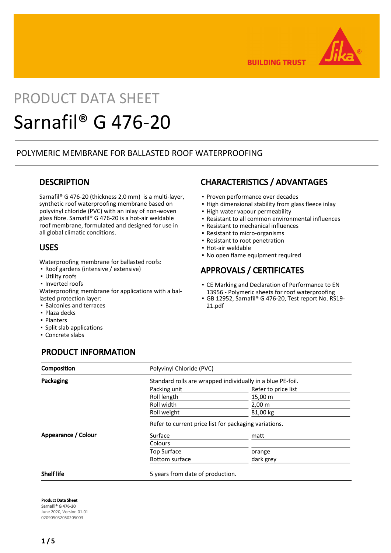

**BUILDING TRUST** 

# PRODUCT DATA SHEET Sarnafil® G 476-20

## POLYMERIC MEMBRANE FOR BALLASTED ROOF WATERPROOFING

## **DESCRIPTION**

Sarnafil® G 476-20 (thickness 2,0 mm) is a multi-layer, synthetic roof waterproofing membrane based on polyvinyl chloride (PVC) with an inlay of non-woven glass fibre. Sarnafil® G 476-20 is a hot-air weldable roof membrane, formulated and designed for use in all global climatic conditions.

## USES

Waterproofing membrane for ballasted roofs:

- Roof gardens (intensive / extensive)
- **·** Utility roofs
- Inverted roofs

Waterproofing membrane for applications with a ballasted protection layer:

- Balconies and terraces
- Plaza decks
- Planters
- Split slab applications
- Concrete slabs

# PRODUCT INFORMATION

## CHARACTERISTICS / ADVANTAGES

- **· Proven performance over decades**
- **.** High dimensional stability from glass fleece inlay
- High water vapour permeability
- Resistant to all common environmental influences
- Resistant to mechanical influences
- Resistant to micro-organisms
- Resistant to root penetration
- Hot-air weldable
- No open flame equipment required

# APPROVALS / CERTIFICATES

- **-** CE Marking and Declaration of Performance to EN 13956 - Polymeric sheets for roof waterproofing
- GB 12952, Sarnafil® G 476-20, Test report No. RS19- 21.pdf

| <b>Composition</b>  | Polyvinyl Chloride (PVC)<br>Standard rolls are wrapped individually in a blue PE-foil. |                     |  |
|---------------------|----------------------------------------------------------------------------------------|---------------------|--|
| Packaging           |                                                                                        |                     |  |
|                     | Packing unit                                                                           | Refer to price list |  |
|                     | Roll length                                                                            | $15,00 \; \text{m}$ |  |
|                     | Roll width                                                                             | $2,00 \, \text{m}$  |  |
|                     | Roll weight                                                                            | 81,00 kg            |  |
|                     | Refer to current price list for packaging variations.                                  |                     |  |
| Appearance / Colour | Surface                                                                                | matt                |  |
|                     | Colours                                                                                |                     |  |
|                     | <b>Top Surface</b>                                                                     | orange              |  |
|                     | Bottom surface                                                                         | dark grey           |  |
| <b>Shelf life</b>   | 5 years from date of production.                                                       |                     |  |

Product Data Sheet Sarnafil® G 476-20 June 2020, Version 01.01 020905032050205003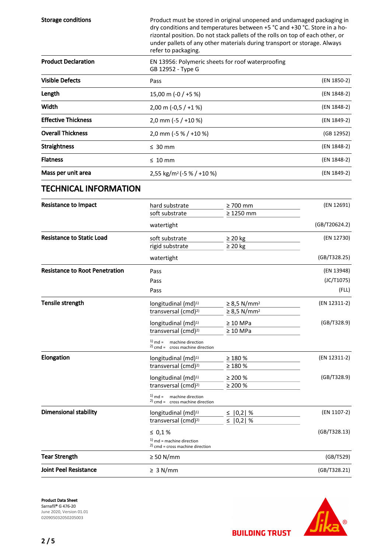| <b>Storage conditions</b>             | Product must be stored in original unopened and undamaged packaging in<br>dry conditions and temperatures between +5 °C and +30 °C. Store in a ho-<br>rizontal position. Do not stack pallets of the rolls on top of each other, or<br>under pallets of any other materials during transport or storage. Always<br>refer to packaging. |                                |               |  |
|---------------------------------------|----------------------------------------------------------------------------------------------------------------------------------------------------------------------------------------------------------------------------------------------------------------------------------------------------------------------------------------|--------------------------------|---------------|--|
| <b>Product Declaration</b>            | EN 13956: Polymeric sheets for roof waterproofing<br>GB 12952 - Type G                                                                                                                                                                                                                                                                 |                                |               |  |
| <b>Visible Defects</b>                | Pass                                                                                                                                                                                                                                                                                                                                   |                                | (EN 1850-2)   |  |
| Length                                | 15,00 m (-0 / +5 %)                                                                                                                                                                                                                                                                                                                    |                                | (EN 1848-2)   |  |
| Width                                 | $2,00 \text{ m } (-0.5 / +1 \%)$                                                                                                                                                                                                                                                                                                       |                                | (EN 1848-2)   |  |
| <b>Effective Thickness</b>            | 2,0 mm (-5 / +10 %)                                                                                                                                                                                                                                                                                                                    |                                | (EN 1849-2)   |  |
| <b>Overall Thickness</b>              | 2,0 mm (-5 % / +10 %)                                                                                                                                                                                                                                                                                                                  |                                | (GB 12952)    |  |
| <b>Straightness</b>                   | $\leq 30$ mm                                                                                                                                                                                                                                                                                                                           |                                | (EN 1848-2)   |  |
| <b>Flatness</b>                       | $\leq 10$ mm                                                                                                                                                                                                                                                                                                                           | (EN 1848-2)                    |               |  |
| Mass per unit area                    | 2,55 kg/m <sup>2</sup> (-5 % / +10 %)                                                                                                                                                                                                                                                                                                  | (EN 1849-2)                    |               |  |
| <b>TECHNICAL INFORMATION</b>          |                                                                                                                                                                                                                                                                                                                                        |                                |               |  |
| <b>Resistance to Impact</b>           | hard substrate                                                                                                                                                                                                                                                                                                                         | $\geq 700$ mm                  | (EN 12691)    |  |
|                                       | soft substrate                                                                                                                                                                                                                                                                                                                         | $\geq 1250$ mm                 |               |  |
|                                       | watertight                                                                                                                                                                                                                                                                                                                             |                                | (GB/T20624.2) |  |
| <b>Resistance to Static Load</b>      | soft substrate<br>rigid substrate                                                                                                                                                                                                                                                                                                      | $\geq 20$ kg<br>$\geq 20$ kg   | (EN 12730)    |  |
|                                       | watertight                                                                                                                                                                                                                                                                                                                             |                                | (GB/T328.25)  |  |
| <b>Resistance to Root Penetration</b> | Pass                                                                                                                                                                                                                                                                                                                                   |                                | (EN 13948)    |  |
|                                       | Pass                                                                                                                                                                                                                                                                                                                                   |                                | (JC/T1075)    |  |
|                                       | Pass                                                                                                                                                                                                                                                                                                                                   |                                | (FLL)         |  |
| Tensile strength                      | longitudinal (md) <sup>1)</sup>                                                                                                                                                                                                                                                                                                        | $\geq$ 8,5 N/mm <sup>2</sup>   | (EN 12311-2)  |  |
|                                       | transversal (cmd) <sup>2)</sup>                                                                                                                                                                                                                                                                                                        | $\geq$ 8,5 N/mm <sup>2</sup>   |               |  |
|                                       | longitudinal (md) <sup>1)</sup><br>transversal (cmd) <sup>2)</sup>                                                                                                                                                                                                                                                                     | $\geq 10$ MPa<br>$\geq 10$ MPa | (GB/T328.9)   |  |
|                                       | $1)$ md = machine direction<br>$2)$ cmd = cross machine direction                                                                                                                                                                                                                                                                      |                                |               |  |
| Elongation                            | longitudinal (md) <sup>1)</sup>                                                                                                                                                                                                                                                                                                        | $\geq 180 \%$                  | (EN 12311-2)  |  |
|                                       | transversal (cmd) <sup>2)</sup>                                                                                                                                                                                                                                                                                                        | $\geq 180 \%$                  |               |  |
|                                       | longitudinal (md) <sup>1)</sup><br>transversal (cmd) <sup>2)</sup>                                                                                                                                                                                                                                                                     | $\geq 200 \%$                  | (GB/T328.9)   |  |
|                                       | $1)$ md = machine direction<br>$2)$ cmd = cross machine direction                                                                                                                                                                                                                                                                      | $\geq 200 \%$                  |               |  |
| <b>Dimensional stability</b>          | longitudinal $(md)^{1}$                                                                                                                                                                                                                                                                                                                | ≤   0,2   %                    | (EN 1107-2)   |  |
|                                       | transversal (cmd) <sup>2)</sup>                                                                                                                                                                                                                                                                                                        | $\leq$<br>$ 0,2 $ %            |               |  |
|                                       | $\leq 0.1 \%$                                                                                                                                                                                                                                                                                                                          |                                | (GB/T328.13)  |  |
|                                       | $1)$ md = machine direction<br>$^{2)}$ cmd = cross machine direction                                                                                                                                                                                                                                                                   |                                |               |  |
| <b>Tear Strength</b>                  | $\geq 50$ N/mm                                                                                                                                                                                                                                                                                                                         |                                | (GB/T529)     |  |
| <b>Joint Peel Resistance</b>          | $\geq 3$ N/mm                                                                                                                                                                                                                                                                                                                          |                                | (GB/T328.21)  |  |





**BUILDING TRUST**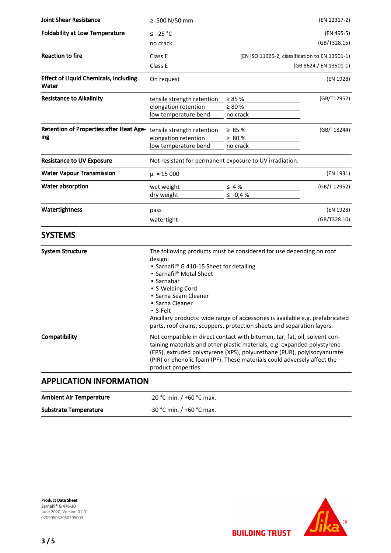| <b>Joint Shear Resistance</b>                         | ≥ 500 N/50 mm                                                                                                                                                                                                                                                                                                                                                                                             |                                                         | (EN 12317-2) |  |
|-------------------------------------------------------|-----------------------------------------------------------------------------------------------------------------------------------------------------------------------------------------------------------------------------------------------------------------------------------------------------------------------------------------------------------------------------------------------------------|---------------------------------------------------------|--------------|--|
| <b>Foldability at Low Temperature</b>                 | $≤ -25 °C$                                                                                                                                                                                                                                                                                                                                                                                                |                                                         | (EN 495-5)   |  |
|                                                       | no crack                                                                                                                                                                                                                                                                                                                                                                                                  |                                                         | (GB/T328.15) |  |
| <b>Reaction to fire</b>                               | Class E                                                                                                                                                                                                                                                                                                                                                                                                   | (EN ISO 11925-2, classification to EN 13501-1)          |              |  |
|                                                       | Class E                                                                                                                                                                                                                                                                                                                                                                                                   | (GB 8624 / EN 13501-1)                                  |              |  |
| <b>Effect of Liquid Chemicals, Including</b><br>Water | On request                                                                                                                                                                                                                                                                                                                                                                                                |                                                         | (EN 1928)    |  |
| <b>Resistance to Alkalinity</b>                       | tensile strength retention                                                                                                                                                                                                                                                                                                                                                                                | $\geq 85 \%$                                            | (GB/T12952)  |  |
|                                                       | elongation retention                                                                                                                                                                                                                                                                                                                                                                                      | $\geq 80 \%$                                            |              |  |
|                                                       | low temperature bend                                                                                                                                                                                                                                                                                                                                                                                      | no crack                                                |              |  |
| <b>Retention of Properties after Heat Age-</b>        | tensile strength retention                                                                                                                                                                                                                                                                                                                                                                                | $\geq 85 \%$                                            | (GB/T18244)  |  |
| ing                                                   | elongation retention                                                                                                                                                                                                                                                                                                                                                                                      | $\geq 80$ %                                             |              |  |
|                                                       | low temperature bend                                                                                                                                                                                                                                                                                                                                                                                      | no crack                                                |              |  |
| <b>Resistance to UV Exposure</b>                      |                                                                                                                                                                                                                                                                                                                                                                                                           | Not resistant for permanent exposure to UV irradiation. |              |  |
| <b>Water Vapour Transmission</b>                      | $\mu = 15000$<br>(EN 1931)                                                                                                                                                                                                                                                                                                                                                                                |                                                         |              |  |
| Water absorption                                      | wet weight                                                                                                                                                                                                                                                                                                                                                                                                | $\leq 4\%$                                              | (GB/T 12952) |  |
|                                                       | dry weight                                                                                                                                                                                                                                                                                                                                                                                                | $\le -0.4%$                                             |              |  |
| Watertightness                                        | pass                                                                                                                                                                                                                                                                                                                                                                                                      |                                                         | (EN 1928)    |  |
|                                                       | watertight                                                                                                                                                                                                                                                                                                                                                                                                |                                                         | (GB/T328.10) |  |
| <b>SYSTEMS</b>                                        |                                                                                                                                                                                                                                                                                                                                                                                                           |                                                         |              |  |
| <b>System Structure</b>                               | The following products must be considered for use depending on roof<br>design:<br>• Sarnafil® G 410-15 Sheet for detailing<br>• Sarnafil® Metal Sheet<br>• Sarnabar<br>• S-Welding Cord<br>• Sarna Seam Cleaner<br>• Sarna Cleaner<br>· S-Felt<br>Ancillary products: wide range of accessories is available e.g. prefabricated<br>parts, roof drains, scuppers, protection sheets and separation layers. |                                                         |              |  |
| Compatibility                                         | Not compatible in direct contact with bitumen, tar, fat, oil, solvent con-<br>taining materials and other plastic materials, e.g. expanded polystyrene<br>(EPS), extruded polystyrene (XPS), polyurethane (PUR), polyisocyanurate<br>(PIR) or phenolic foam (PF). These materials could adversely affect the<br>product properties.                                                                       |                                                         |              |  |
| <b>APPLICATION INFORMATION</b>                        |                                                                                                                                                                                                                                                                                                                                                                                                           |                                                         |              |  |
| <b>Ambient Air Temperature</b>                        | -20 °C min. / +60 °C max.                                                                                                                                                                                                                                                                                                                                                                                 |                                                         |              |  |

Substrate Temperature  $-30 °C$  min.  $/ +60 °C$  max.

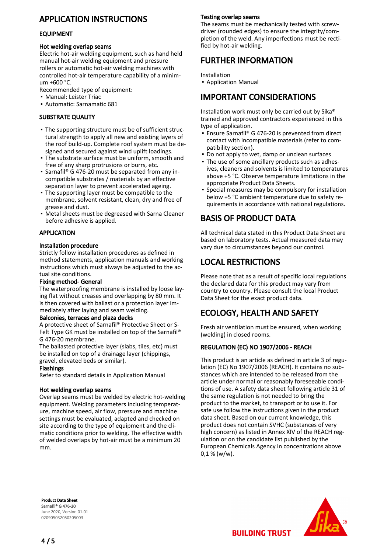# APPLICATION INSTRUCTIONS

#### EQUIPMENT

#### Hot welding overlap seams

Electric hot-air welding equipment, such as hand held manual hot-air welding equipment and pressure rollers or automatic hot-air welding machines with controlled hot-air temperature capability of a minimum +600 °C.

Recommended type of equipment:

- Manual: Leister Triac
- Automatic: Sarnamatic 681

#### SUBSTRATE QUALITY

- The supporting structure must be of sufficient struc-▪ tural strength to apply all new and existing layers of the roof build-up. Complete roof system must be designed and secured against wind uplift loadings.
- The substrate surface must be uniform, smooth and free of any sharp protrusions or burrs, etc.
- Sarnafil® G 476-20 must be separated from any incompatible substrates / materials by an effective separation layer to prevent accelerated ageing.
- The supporting layer must be compatible to the membrane, solvent resistant, clean, dry and free of grease and dust.
- Metal sheets must be degreased with Sarna Cleaner before adhesive is applied.

#### APPLICATION

#### Installation procedure

Strictly follow installation procedures as defined in method statements, application manuals and working instructions which must always be adjusted to the actual site conditions.

#### Fixing method- General

The waterproofing membrane is installed by loose laying flat without creases and overlapping by 80 mm. It is then covered with ballast or a protection layer immediately after laying and seam welding.

#### Balconies, terraces and plaza decks

A protective sheet of Sarnafil® Protective Sheet or S-Felt Type GK must be installed on top of the Sarnafil® G 476-20 membrane.

The ballasted protective layer (slabs, tiles, etc) must be installed on top of a drainage layer (chippings, gravel, elevated beds or similar).

#### Flashings

Refer to standard details in Application Manual

#### Hot welding overlap seams

Overlap seams must be welded by electric hot-welding equipment. Welding parameters including temperature, machine speed, air flow, pressure and machine settings must be evaluated, adapted and checked on site according to the type of equipment and the climatic conditions prior to welding. The effective width of welded overlaps by hot-air must be a minimum 20 mm.

#### Testing overlap seams

The seams must be mechanically tested with screwdriver (rounded edges) to ensure the integrity/completion of the weld. Any imperfections must be rectified by hot-air welding.

### FURTHER INFORMATION

Installation

▪ Application Manual

## IMPORTANT CONSIDERATIONS

Installation work must only be carried out by Sika® trained and approved contractors experienced in this type of application.

- Ensure Sarnafil® G 476-20 is prevented from direct contact with incompatible materials (refer to compatibility section).
- Do not apply to wet, damp or unclean surfaces
- The use of some ancillary products such as adhes-▪ ives, cleaners and solvents is limited to temperatures above +5 °C. Observe temperature limitations in the appropriate Product Data Sheets.
- Special measures may be compulsory for installation below +5 °C ambient temperature due to safety requirements in accordance with national regulations. ▪

## BASIS OF PRODUCT DATA

All technical data stated in this Product Data Sheet are based on laboratory tests. Actual measured data may vary due to circumstances beyond our control.

## LOCAL RESTRICTIONS

Please note that as a result of specific local regulations the declared data for this product may vary from country to country. Please consult the local Product Data Sheet for the exact product data.

## ECOLOGY, HEALTH AND SAFETY

Fresh air ventilation must be ensured, when working (welding) in closed rooms.

#### REGULATION (EC) NO 1907/2006 - REACH

This product is an article as defined in article 3 of regulation (EC) No 1907/2006 (REACH). It contains no substances which are intended to be released from the article under normal or reasonably foreseeable conditions of use. A safety data sheet following article 31 of the same regulation is not needed to bring the product to the market, to transport or to use it. For safe use follow the instructions given in the product data sheet. Based on our current knowledge, this product does not contain SVHC (substances of very high concern) as listed in Annex XIV of the REACH regulation or on the candidate list published by the European Chemicals Agency in concentrations above  $0,1 %$  (w/w).

Product Data Sheet Sarnafil® G 476-20 June 2020, Version 01.01 020905032050205003



**BUILDING TRUST**